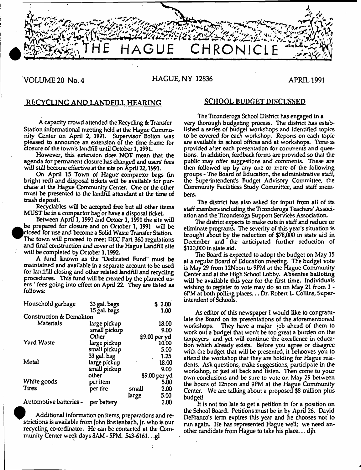

# VOLUME 20 No. 4 **HAGUE, NY 12836** APRIL 1991

# RECYCLING AND LANDFILL HEARING SCHOOL BUDGET DISCUSSED

A capacity crowd attended the Recycling & Transfer Station informational meeting held at the Hague Community Center on April 2, 1991. Supervisor Bolton was pleased to announce an extension of the time frame for closure of the town's landfill until October 1,1991.

However, this extension does NOT mean that the agenda for permanent closure has changed and users' fees will still become effective at the site on April 22,1991.

On April 15 Town of Hague- compactor bags (in bright red) and disposal tickets will be available for purchase at the Hague Community Center. One or the other must be presented to the landfill attendant at the time of trash deposit.

Recydables will be accepted free but all other items MUST be in a compactor bag or have a disposal ticket

Between April 1,1991 and Octoer 1,1991 the site will be prepared for closure and on October 1, 1991 will be closed for use and become a Solid Waste Transfer Station. The town will proceed to meet DEC Part 360 regulations and final construction and cover of the Hague Landfill site will be completed by October 1,1992.

A fund known as the "Dedicated Fund" must be maintained and available in a separate account to be used for landfill closing and other related landfill and recycling procedures. This fund will be created by the planned users ' fees going into effect on April 22. They are listed as follows:

| Household garbage        | 33 gal. bags |               | \$ 2.00       |
|--------------------------|--------------|---------------|---------------|
|                          | 15 gal. bags |               | 1.00          |
| Construction & Demoliton |              |               |               |
| Materials                | large pickup |               | 18.00         |
|                          | small pickup |               | 9.00          |
|                          | Other        |               | \$9.00 per yd |
| <b>Yard Waste</b>        | large pickup |               | 10.00         |
|                          | small pickup |               | 5.00          |
|                          | 33 gal. bag  |               | 1.25          |
| Metal                    | large pickup |               | 18.00         |
|                          | small pickup |               | 9.00          |
|                          | other        | \$9.00 per yd |               |
| White goods              | per item     |               | 5.00          |
| <b>Tires</b>             | per tire     | small         | 2.00          |
|                          |              | large         | 5.00          |
| Automotive batteries -   | per battery  |               | 2.00          |

Additional information on items, preparations and restrictions is available from John Breitenbach, Jr. who is our recycling co-ordinator. He can be contacted at the Community Center week days 8AM - 5PM. 543-6161.. .gl

The Tieonderoga School District has engaged in a very thorough budgeting process. The district has established a series of budget workshops and identified topics to be covered for each workshop. Reports on each topic are available in school offices and at workshops. Time is provided after each presentation for comments and questions. In addition, feedback forms are provided so that the public may offer suggestions and comments. These are then followed up by any one or more of the following groups - The Board of Education, the administrative staff, the Superintendent's Budget Advisory Committee, the Community Facilitiess Study Committee, and staff members.

The district has also asked for input from all of its staff members including the Tieonderoga Teachers' Association and the Tieonderoga Support Services Association.

The district expects to make cuts in staff and reduce or eliminate programs. The severity of this year's situation is brought about by the reduction of \$78,000 in state aid in December and the anticipated further reduction of \$120,000 in state aid.

The Board is expected to adopt the budget on May 15 at a regular Board of Education meeting. The budget vote is May 29 from 12Noon to 9PM at the Hague Community Center and at the High School Lobby. Absentee balloting will be available this year for the first time. Individuals wishing to register to vote may do so on May 21 from 1 - 6PM at both polling places... Dr. Robert L. Collins, Superintendent of Schools.

As editor of this newspaper I would like to congratulate the Board on its presentations of the aforementioned workshops. They have a major job ahead of them to work out a budget that won't be too great a burden on the taxpayers and yet will continue the excellence in education which already exists. Before you agree or disagree with the budget that will be presented, it behooves you to attend the workshop that they are holding for Hague residents. Ask questions, make suggestions, participate in the workshop, or just sit back and listen. Then come to your own conclusions and be sure to vote on May 29 between the hours of 12noon and 9PM at the Hague Community Center. We are talking about a proposed \$8 million plus budget!

It is not too late to get a petition in for a position on the School Board. Petitions must be in by April 26. David DeFranco's term expires this year and he chooses not to run again. He has represented Hague well; we need another candidate from Hague to take his place... djh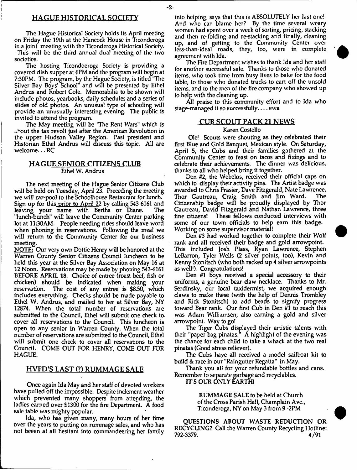# HAGUE HISTORICAL SOCIETY

The Hague Historical Society holds its April meeting on Friday the 19th at the Hancock House in Tieonderoga in a joint meeting with the Tieonderoga Historical Society. This will be the third annual dual meeting of the two societies.

The hosting Ticondoeroga Society is providing a covered dish supper at 6PM and the program will begin at 7:30PM. The program, by the Hague Society, is titled 'The Silver Bay Boys' School" and will be presented by Ethel Andrus and Robert Cole. Memorabilia to be shown will include photos, yearbooks, daily schedules and a series of slides of old photos. An unusual type of schooling will provide an unusually interesting evening. The public is invited to attend the program.

The May meeting will be 'The Rent Wars" which is  $\omega$ bout the tax revolt just after the American Revolution in the upper Hudson Valley Region. Past president and Historian Ethel Andrus will discuss this topic. All are welcome... RC

# HAGUE SENIOR CITIZENS CLUB Ethel W. Andrus

The next meeting of the Hague Senior Citizens Gub will be held on Tuesday, April 23. Preceding the meeting we will car-pool to the Schoolhouse Restaurant for lunch. Sign up for this prior to April 22 by calling 543-6161 and leaving your name with Bertha or Diane. The "lunch-bunch" will leave the Community Center parking lot at 11:30AM. People needing rides should leave word when phoning in reservations. Following the meal we will return to the Community Center for our business meeting.

NOTE: Our very own Dottie Henry will be honored at the Warren County Senior Gtizens Council luncheon to be held this year at the Silver Bay Association on May 16 at 12 Noon. Reservations may be made by phoning 543-6161 BEFORE APRIL 18. Choice of entree (roast beef, fish or chicken) should be indicated when making your reservation. The cost of any entree is \$8.50, which The cost of any entree is \$8.50, which includes everything. Checks should be made payable to Ethel W. Andrus, and mailed to her at Silver Bay, NY 12874. When the total number of reservations are submitted to the Council, Ethel will submit one check to cover all reservations to the Council. This luncheon is open to any senior in Warren County. When the total number of reservations are submitted to the Council, Ethel will submit one check to cover all reservations to the Council. COME OUT FOR HENRY, COME OUT FOR HAGUE.

# HVFD'S LAST (?) RUMMAGE SALE

Once again Ida May and her staff of devoted workers have pulled off the impossible. Despite inclement weather which prevented many shoppers from attending, the ladies earned over \$1300 for the fire Department. A food sale table was mighty popular.

Ida, who has given many, many hours of her time over the years to putting on rummage sales, and who has not beeen at all hesitant into commandeering her family into helping, says that this is ABSOLUTELY her last one! And who can blame her? By the time several weary women had spent over a week of sorting, pricing, stacking and then re-folding and re-stacking and finally, cleaning up, and of getting to the Community Center over less-than-ideal roads, they, too, were in complete agreement wtith Ida.

The Fire Department wtishes to thank Ida and her staff for another successful sale. Thanks to those who donated items, who took time from busy lives to bake for the food table, to those who donated trucks to cart off the unsold items, and to the men of the fire company who showed up to help with the cleaning up.

All praise to this community effort and to Ida who stage-managed it so successfully....  $ewa$ 

# CUB SCOUT PACK 21 NEWS Karen Costello

Ole! Scouts were shouting as they celebrated their first Blue and Gold Banquet, Mexican style. On Saturday, April 5, the Cubs and their families gathered at the Community Center to feast on tacos and fixings and to celebrate their achievements. The dinner was delicious, thanks to all who helped bring it together.

Den #2, the Webelos, received their official caps on which to display their activity pins. The Artist badge was awarded to Chris Frasier, Dave Fitzgerald, Nate Lawrence, Thor Gautreau, Craig Smith and Jim Ward. The Gtizenship badge will be proudly displayed by Thor Gautreau, David Fitzgerald and Nathan Lawrence, three fine citizens! These fellows conducted interviews wtith some of our town officials to help earn this badge. Working on some supervisor material!

Den #3 had worked together to complete their Wolf rank and all received their badge and gold arrowpoint. This included Josh Plass, Ryan Lawrence, Stephen LeBarron, Tyler Wells (2 silver points, too), Kevin and Kenny Stonitsch (who both racked up 4 silver arrowrpoints as well!). Congratulations!

Den #1 boys received a special accessory to their uniforms, a genuine bear daw necklace. Thanks to Mr. Serdinsky, our local taxidermist, we acquired enough daws to make these (with the help of Dennis Trombley and Rick Stonitsch) to add beads to signify progress toward Bear rank. Our first Cub in Den #1 to reach this was Adam Williamsen, also earning a gold and silver arrowpoint. Way to go!

The Tiger Cubs displayed their artistic talents wtith their "paper bag pinatas." A highlight of the evening was the chance for each child to take a whack at the two real pinatas (Good stress reliever).

The Cubs have all received a model sailboat kit to build & race in our "Raingutter Regatta" in May.

Thank you all for your refundable bottles and cans. Remember to separate garbage and recydables.

ITS OUR ONLY EARTH!

RUMMAGE SALE to be held at Church of the Cross Parish Hall, Champlain Ave., Tieonderoga, NY on May 3 from 9 -2PM

QUESTIONS ABOUT WASTE REDUCTION OR RECYCLING? Call the Warren County Recycling Hotline: 792-3379. 4/91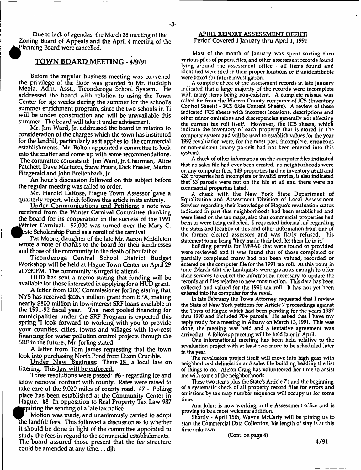Due to lack of agendas the March 28 meeting of the Zoning Board of Appeals and the April 4 meeting of the Planning Board were cancelled.

# TOWN BOARD MEETING - 4/9/91

Before the regular business meeting was convened the privilege of the floor was granted to Mr. Rudolph Meola, Adm. Asst., Ticonderoga School System. He addressed the board with relation to using the Town Center for sjx weeks during the summer for the school's summer enrichment program, since the two schools in Ti will be under construction and will be unavailable this summer. The board will take it under advisement.

Mr. Jim Ward, Jr. addressed the board in relation to consideration of the charges which the town has instituted for the landfill, particularly as it applies to the commercial establishments. Mr. Bolton appointed a committee to look into the matter and come up with some recommendations. The committee consists of: Jim Ward, Jr. Chairman, Alice Patchett, Dave Martucci, Steve Priore, Dick Frasier, Martin Fitzgerald and John Breitenbach, Jr.

An hour's discussion followed on this subject before the regular meeting was called to order.

Mr. Harold LaRose, Hague Town Assessor gave a quarterly report, which follows this article in its entirety.

Under Communications and Petitions: a note was received from the Winter Carnival Committee thanking the board for its cooperation in the success of the 1991 ^JA/inter Carnival. \$2,000 was turned over the Mary C. este Scholarship Fund as a result of the carnival.

Pat Moore, daughter of the late Mr. Aaron Middleton wrote a note of thanks to the board for their kindnesses and those of the community in the death of her father.

Tieonderoga Central School District Budget Workshop will be held at Hague Town Center on April 29 at 7:30PM. The community is urged to attend.

HUD has sent a memo stating that funding will be available for those interested in applying for a HUD grant.

A' letter from DEC Commissioner Jorling stating that NYS has received \$226.5 million grant from EPA, making nearly \$800 million in low-interest SRF loans available in the 1991-92 fiscal year. The next pooled financing for municipalities under the SRF Program is expected this spring.<sup>"</sup>I look forward to working with you to provide your counties, cities, towns and villages with low-cost financing for water pollution control projects through the SRF in the future., Mr. Jorling stated.

A letter from Tom James requesting that the town look into purchasing North Pond from Dixon Crucible.

Under New Business: There IS\_ a local law on littering. This law will be enforced.

Three resolutions were passed: #6 - regarding ice and snow removal contract with county. Rates were raised to take care of the 9.020 miles of county road. #7 - Polling place has been established at the Community Center in Hague. #8 In opposition to Real Property Tax Law 987 quiring the sending of a late tax notice.

Motion was made, and unanimously carried to adopt the landfill fees. This followed a discussion as to whether it should be done in light of the committee appointed to study the fees in regard to the commercial establishments. The board assured those present that the fee structure could be amended at any time... djh

## APRIL REPORT ASSESSMENT OFFICE Period Covered 1 January thru April 1, 1991

Most of the month of January was spent sorting thru **various piles of papers, files, and other assessment records found** lying around the assessment office - all items found and **identified were filed in their proper locations or if unidentifiable were boxed for future investigation.**

**A complete check of the assessm ent records in late January indicated that a large majority of the records were incom plete** with many items being non-existent. A complete reissue was **called for from the Warren County computer of ICS (Inventory Control Sheets) - FCS (File Content Sheets). A review of these indicated FCS sheets with incorrect locations, descriptions and other minor omissions and discrepencies generally not affecting** the current tax roll itself. However, the ICS sheets, which **indicate the inventory of each property that is stored in the computer system and will be used to establish values for the year 1992 revaluation were, for the most part, incomplete, erroneous or non-existent (many parcels had not been entered into this system).**

**A check of other information on the computer files indicated that no sales file had ever been created, no neighborhoods were on any computer files, 149 properties had no inventory at all and 426 properties had incomplete or invalid entries, it also indicated** that 63 parcels were not on the file at all and there were no **commercial properties listed.**

A check with the New York State Department of **Equalization and Assessment Division of Local Assessment Services regarding their knowledge of Hague's revaluation status indicated in part that neighborhoods had been established and were listed on the tax maps, also that commercial properties had been or were being collected. I requested information regarding the status and location of this and other information from one of** the former elected assessors and was flatly refused, his **statement to me being "they made their bed, let them lie in it."**

Building permits for 1989-90 that were found or provided were reviewed and it was found that of those completed or partially completed many had not been valued, recorded or **entered on the computer file for the 1991 tax roll. At this point in** time (March 4th) the Lindquists were gracious enough to offer **their services to collect the information necessary to update the records and files relative to new construction. This data has been collected and valued for the 1991 tax roll. It has not yet been entered into the computer for the reval.**

**In late February the Town Attorney requested that I review** the State of New York petitions for Article 7 proceedings against **the Town of Hague which had been pending for the years 1987** thru 1990 and included 70+ parcels. He asked that I have my **reply ready for a meeting in Albany on March 13,1991. This was** done, the meeting was held and a tentative agreement was **arrived at. A followup meeting will be held later in April.**

**One informational m eeting has been held relative to the revaluation project with at least two more to be scheduled later in the year.**

The revaluaton project itself will move into high gear with **neighborhood delineation and sales file building heading the list** of things to do. Alison Craig has volunteered her time to assist **me with some of the neighborhoods.**

**These two items plus the State's Article 7 s and the beginning of a systematic check of all property record files for errors ana** omissions by tax map number sequence will occupy us for some **time.**

**Ann Johns is now working in the Assessment office and is proving to be a most welcome addition.**

**Shortly - April 15th, Wayne McCarty w ill be joining us to start the Commercial Data Collection, his length of stay is at this time unknown.**

**(Cont. on page 4)**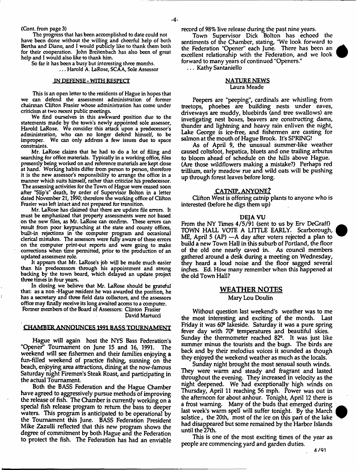### **(Cont. from page 3)**

**The progress that has been accomplished to date could not have been done without the willing and cheerful help of both Bertha and Diane, and 1 would publicly like to thank tnem both for their cooperation. John Breitenbach has also been of great help and 1 would also like to thank him.**

**So far it has been a busy but interesting three months. . . . Harold A. LaRose, SCAA, Sole Assessor**

#### **IN DEFENSE - WITH RESPECT**

**This is an open letter to the residents of Hague in hopes that** we can defend the assessment administration of former **chairman Clifton Frasier whose administration has come under criticism at two recent public meetings.**

**We find ourselves in this awkward position due to the statements m ade by the town's newly appointed sole assessor, Harold LaRose. We consider this attack upon a predecessor's administration, who can no longer defend himself, to be** improper. We can only address a few issues due to space **constraints.**

**Mr. LaRose claims that he had to do a lot of filing and searching for office materials. Typically in a working office, files presently being worked on and reference materials are kept close at hand. Working habits differ from person to person, therefore it is the new assessor's responsibility to arrange the office in a manner which suits himself, rather than criticize his predecessor. The assessing activities for the Town of Hague were ceased soon after "Slip's" death, by order of Supervisor Bolton in a letter dated November 2 1 ,1§90; therefore the working office of Clifton Frasier was left intact and not prepared for transition.**

**Mr. LaRose has claimed that there are update file errors. It must be emphasized that property assessments were not based on the new files, as Mr. LaRose can confirm. These errors can result from poor keypunching at the state and county offices, built-in rejections in the computer program and occasional clerical mistakes. The assessors were fully aware of these errors on the computer print-out reports and were going to make corrections when time permitted, prior to the production of an updated assesment role.**

**It appears that Mr. LaRose's job will be made much easier than his predecessors through his appointment and strong backing by the town board, which delayed an update project three times in four years.**

In closing we believe that Mr. LaRose should be grateful **that: as a non -Hague resident he was awarded the position, he has a secretary ana three field date collectors, and the assessors office may finally receive its long awaited access to a computer. Former members of the Board of Assessors: Clinton Frasier**

**David Martucd**

# CHAMBER ANNOUNCES 1991 BASS TOURNAMENT

Hague will again host the NYS Bass Federation's "Opener" Tournament on June 15 and 16, 1991. The weekend will see fishermen and their families enjoying a fun-filled weekend of practice fishing, sunning on the beach, enjoying area attractions, dining at the now-famous Saturday night Firemen's Steak Roast, and participating in the actual Tournament.

Both the BASS Federation and the Hague Chamber have agreed to aggressively pursue methods of improving the release of fish. The Chamber is currently working on a special fish release program to return the bass to deeper waters. This program is anticipated to be operational by the Tournament this June. BASS Federation President Mike Zazulli reflected that this new program shows the degree of commitment by both Hague and the Federation to protect the fish. The Federation has had an enviable record of 98% live release during the past nine years.

Town Supervisor Dick Bolton has echoed the sentiments of the Chamber, stating, "We look forward to the Federation "Opener" each June. There has been an excellent relationship with the Federation, and we look forward to many years of continued "Openers."

... Kathy Santaniello

## NATURE NEWS Laura Meade

Peepers are "peeping", cardinals are whistling from treetops, phoebes are building nests under eaves, driveways are muddy, bluebirds (and tree swallows) are invetigating nest boxes, beavers are constructing dams, thunder and lightning and heavy rain enliven the night, Lake George is ice-free, and fishermen are casting for salmon at the mouth of Hague Brook. It's SPRING!

As of April 9, the unusual summer-like weather caused coltsfoot, hepatica, bluets and one trailing arbutus to bloom ahead of schedule on the hills above Hague. (Are those wild flowers making a mistake?) Perhaps red triIlium, early meadow rue and wild oats will be pushing up through forest leaves before long.

### CATNIP. ANYONE?

Clifton West is offering catnip plants to anyone who is interested (before he digs them up)

#### DEJAVU

From the NY Times 4/5/91 (sent to us by Erv DeGraff) TOWN HALL VOTE A LITTLE EARLY. Scarborough, ME, April 5 (AP) —A day after voters rejected a plan to build a new Town Hall in this suburb of Portland, the floor of the old one nearly caved in. As council members gathered around a desk during a meeting on Wednesday, they heard a loud noise and the floor sagged several inches. Ed. How many remember when this happened at the old Town Hall?

# WEATHER NOTES Mary Lou Doulin

Without question last weekend's weather was to me the most interesting and exciting of the month. Last Friday it was 6(P lakeside. Saturday it was a pure spring fever day with 70® temperatures and beautiful skies. Sunday the thermometer reached 82°. It was just like summer minus the tourists and the bugs. The birds are back and by their melodius voices it sounded as though they enjoyed the weekend weather as much as the locals.

Sunday night brought the most sensual south winds. They were warm and steady and fragrant and lasted throughout the evening. They increased in velocity as the night deepened. We had exceptionally high winds on Thursday, April 11 reaching 56 mph. Power was out in the afternoon for about anhour. Tonight, April 12 there is a frost warning. Many of the buds that emerged during last week's warm spell will suffer tonight. By the March solstice, the 20th, most of the ice on this part of the lake had disappeared but some remained by the Harbor Islands until the 27th.





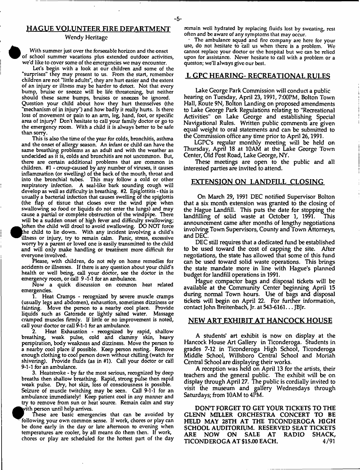# HAGUE VOLUNTEER FIRE DEPARTMENT

#### Wendy Heritage

**With summer just over the fbrseeable horizon and the onset of school summer vacations plus extended outdoor activities, we'd like to cover some of the emergencies we may encounter.**

**Let's begin with a look at our children and some of the ''surprises" they may present to us. From the start, remember children are not "little adults", they are hurt easier and the extent of an injury or illness may be harder to detect. Not that every bump, bruise or sneeze will be life threatening, but neither should these same bumps, bruises or sneezes be ignored. Question your child about how they hurt themselves (the "mechanism of in injury") and how badly it really hurts. Is there loss of movement or pain to an arm, leg, hand, foot, or specific area of injury? Don't hesitate to call your family doctor or go to the emergency room. With a child it is always better to be safe than sorry.**

**This is also the time of the year for colds, bronchitis, asthma and the onset of allergy season. An infant or child can have the same breathing problems as an adult and with the weather as undecided as it is, colds and bronchitis are not uncommon. But, there are certain additional problems that are common in children. # 1 - croup-caused by any number of viruses, it causes** inflammation (or swelling) of the back of the mouth, throat and **into the bronchial tubes. This may follow a cold or other respiratory infection. A seal-like bark sounding cough will develop as well as difficulty in breathing. #2 Epiglottitis - this is usually a bacterial infection that causes swelling of the spiglottis (the flap of tissue that closes over the wind pipe when sw allow ing so food or liquids do not enter the lungs) and may cause a partial or complete obstruction of the windpipe. There will be a sudden onset of high fever and difficulty swallowing; • )often the child will drool to avoid swallowing. DO NOT force the child to lie down. With any incident involving a child's illness or injury, try to remain calm. Panic, stress, excessive worry by a parent or loved one is easily transmitted to the child** and will only make handling or treatment more difficult for **everyone involved.**

**Please, with children, do not rely on home remedies for accidents or illnesses. If there is any question about your child's health or well being, call your doctor, see the doctor in the emergency room, or call 9 -1-1 for an ambulance.**

**N ow a quick discussion on common heat related emergencies.**

**1 . Heat Cramps - recognized by severe muscle cramps (usually legs and abdomen), exhaustion, sometimes dizziness or fainting. Move the person to a nearby cool place. Provide liquids such as Gatorade or lightly salted water. Massage cramped m uscles firmly. If little or no improvement is noted, call your doctor or call 9-1-1 for an ambulance.**

**2. Heat Exhaustion - recognized by rapid, shallow breathing, weak pulse, cold and clammy skin, heavy perspiration, body weakness and dizziness. Move the person to a nearby cool place if possible. Keep person resting. Remove enough clothing to cool person down without chilling (watch for shivering). Provide fluids (as in #1). Call your doctor or call 9-1-1 for an ambulance.**

**3. Heatstroke - by far the most serious, recognized by deep breaths then shallow breathing. Rapid, strong pulse then rapid weak pulse. Dry, hot skin, loss of consciousness is possible. Seizure of muscle twitching may be seen. Call 9-1-1 for an ambulance immediately! Keep patient cool in any manner and try to remove from sun or heat source. Remain calm and stay** ^^feithperson until help arrives.

**These are basic emergencies that can be avoided by** following your own common sense. If work, chores or play can **be done early in the day or late afternoon to evening when temperatures are cooler, by all means do them then. If work, chores or play are scheduled for the hottest part of the day**

**remain well hydrated by replacing fluids lost by sweating, rest often and be aware of any symptoms that may occur.**

**• The ambulance squad and fire company arc here for your** use, do not hesitate to call us when there is a problem. We **cannot replace your doctor or the hospital but we can be relied upon for assistance. Never hesitate to call with a problem or a queston; we'll always give our best.**

## L GPC HEARING- RECREATIONAL RULES

Lake George Park Commission will conduct a public hearing on Tuesday, April 23, 1991, 7:00PM, Bolton Town Hall, Route 9N, Bolton Landing on proposed amendments to Lake George Park Regulations relating to "Recreational Activities" on Lake George and establishing Special Navigational Rules. Written public comments are given equal weight to oral statements and can be submitted to the Commission office any time prior to April 26,1991.

LGPC's regular monthly meeting will be held on Thursday, April 18 at 10AM at the Lake George Town Center, Old Post Road, Lake George, NY.

These meetings are open to the public and all interested parties are invited to attend.

## EXTENSION ON LANDFILL CLOSING

On March 29, 1991 DEC notified Supervisor Bolton that a six month extension was granted to the closing of the Hague Landfill. This puts the date for stopping the<br>landfilling of solid waste at October 1, 1991. This landfilling of solid waste at October 1, 1991. announcement came after months of lengthy negotiations involving Town Supervisors, County and Town Attorneys, and DEC.

DEC still requires that a dedicated fund be established to be used toward the cost of capping the site. After negotiations, the state has allowed that some of this fund can be used toward solid waste operations. This brings the state mandate more in line with Hague's planned budget for landfill operations in 1991.

Hague compactor bags and disposal tickets will be available at the Community Center beginning April 15 during normal Town hours. Use of bags and disposal tickets will begin on April 22. For further information, contact John Breitenbach, Jr. at 543-6161... JBJr.

## NEW ART EXHIBIT AT HANCOCK HOUSE

A students' art exhibit is now on display at the Hancock House Art Gallery in Ticonderoga. Students in grades 7-12 in Tieonderoga High School, Tieonderoga Middle School, Willsboro Central School and Moriah Central School are displaying their works.

A reception was held on April 13 for the artists, their teachers and the general public. The exhibit will be on display through April 27. The public is cordially invited to visit the museum and gallery Wednesdays through Saturdays; from 10AM to 4PM.

DONT FORGET TO GET YOUR TICKETS TO THE GLENN MILLER ORCHESTRA CONCERT TO BE HELD MAY 28TH AT THE TICONDEROGA HIGH SCHOOL AUDITORIUM. RESERVED SEAT TICKETS ARE NOW ON SALE AT RADIO SHACK, TICONDEROGA AT \$15.00 EACH. 4/91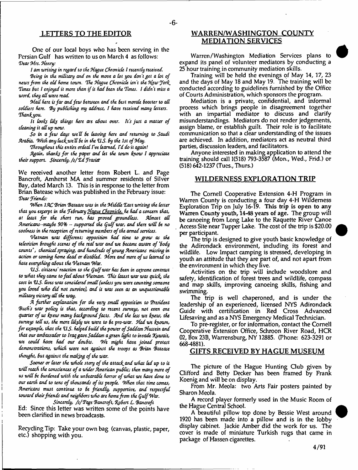One of our local boys who has been serving in the Persian Gulf has written to us on March 4 as follows: *Tear Mrs. Henry:*

*I am writing in regard to the Hague Chronicle I recently received.* 

*Being in the military and on the move a lot you don't get a lot of* news from the old home town. The Hague Chronicle isn't the New York *Tunes But I enjoyed it more than if it had Bun the Times. I didn't miss a Word, they all were read*

*iMail here is far and few Between and the Best morale Booster to all* soldiers here. By publishing my address, I have received many letters. *Thankjyou.*

*It looks likf things here are about over, ft's just a matter of cleaning it all up now.*

*So in a few days we'll Be leaving here and returning to Saudi Arabia. W ith any luckwc'UBe in the V S . By the 1st of May.*

*Throughout this entire ordeal fve learned, Td do it again!*

Again, thanks for the paper and let the town know I appreciate *their support. Sincerely, /s /T d f rosier*

We received another letter from Robert L. and Page Bancroft, Amherst MA and summer residents of Silver Bay, dated March 13. This is in response to the letter from Brian Batease which was published in the February issue: *Tear friends:*

*When 1AC 'Brian Batease was in the Middle Tost writing the letter that you experpt* **in** *the TeBruary Hague Chronicle, he had a concern that, at least for the short run, has proved groundless. Almost ad Ammcans-mayBe 90%* **\*\*** *supported the Q ulf war, and there w ill Be no* coolness in the reception of returning members of the armed services.

*Vietnam was different; opposition had time to grow as the television Brought scenes o f the rial war and we Became aware o f 'Body* counts', chemical spraying, and hundreds of young Americans missing in *action or coming home dead or disabled. More and more of us learned to hate everything about the Vietnam War.*

*V S . citizens' reaction to the Qu£f war has Been in extreme contrast* to what they came to feel about Vietnam. This latest war was quick, the *cost in V S . Hoes was considered small (unless you Were counting someone you loved who did not survive), and il was seen as an unquestionable military victory all the way.*

*A further explanation for the very small opposition to President Bush's war policy is that, according to recent surveys, not even one* quarter of us knew many background facts. And the less we knew, the *surveys tell us, the more likpfy we were to Be pro-war. Had we known, for example, that the U.S. helped build the power of Saddam Hussein and that our ambassador to Iraq gave Saddam a green light to invade JQiwait, we could have had our doubts. We might have joined protest demonstrations, which were not against the troops as Brian Batease thought, But against the making of the war.*

Sooner or later the whole story of the attack and what led up to it will reach the consciences of a wider American public; then many more of us will be burdened with the unbearable horror of what we have done to our earth and to tens of thousands of its people. When that time comes, *Americans must continue to Be friendly, supportive, and respectful toward their friends and neighbors who are home from the Qulf War.*

*Sincerely, /s f Tagt Bancroft, %pBtrt L. Bancroft* Ed: Since this letter was written some of the points have been clarified in news broadcasts.

Recycling Tip: Take your own bag (canvas, plastic, paper, etc.) shopping with you.

# LETTERS TO THE EDITOR WARREN/WASHINGTON COUNTY MEDIATION SERVICES

 $-6-$ 

Warren/Washington Mediation Services plans to expand its panel of volunteer mediators by conducting a 25 hour training in community mediation skills.

Training will be held the evenings of May 14, 17, 23 and the days of May 18 and May 19. The training will be conducted according to guidelines furnished by the Office of Courts Administration, which sponsors the program.

Mediation is a private, confidential, and informal process which brings people in disagreement together with an impartial mediator to discuss and clarify misunderstandings. Mediators do not render jedgements, assign blame, or establish guilt. Their role is to facilitate communication so that a clear understanding of the issues are achieved. In addition, mediators act as neutral third parties, discussion leaders, and facilitators.

Anyone interested in making application to attend the training should call 1(518) 793-3587 (Mon., Wed., Frid.) or (518) 642-1237 (Tues., Thurs.)

# WILDERNESS EXPLORATION TRIP

The Cornell Cooperative Extension 4-H Program in Warren County is conducting a four day 4-H Wilderness Exploration Trip on July 16-19. This trip is open to any Warren County youth, 14-48 years of age. The group will be canoeing from Long Lake to the Raquette River Canoe Access Site near Tupper Lake. The cost of the trip is \$20.00 per participant.

The trip is designed to give youth basic knowledge of the Adirondack environment, including its forest and wildlife. Low Impact camping is stressed, developing in youth an attitude that they are part of, and not apart from the environment in which they five.

Activities on the trip will include woodslore and safety, identification of forest trees and wildlife, compass and map skills, improving canoeing skills, fishing and swimming.

The trip is well chaperoned, and is under the leadership of an experienced, licensed NYS Adirondack Guide with certification in Red Cross Advanced Lifesaving and as a NYS Emergency Medical Technician.

To pre-register, or for information, contact the Cornell Cooperative Extension Office, Schroon River Road, HCR 02, Box 23B, Warrensburg, NY 12885. (Phone: 623-3291 or 668-4881).

## GIFTS RECEIVED BY HAGUE MUSEUM

The picture of the Hague Hunting Club given by Clifford and Betty Decker has been framed by Frank Koenig and will be on display.

From Mr. Meola: two Arts Fair posters painted by Sharon Meola.

A record player formerly used in the Music Room of the Hague Central School.

A beautiful pillow top done by Bessie West around 1920 has been made into a pillow and is in the lobby display cabinet. Jackie Amber did the work for us. The cover is made of miniature Turkish rugs that came in package of Hassen cigarettes.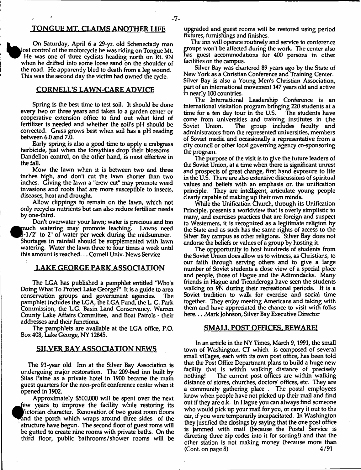# TONGUE MT. CLAIMS ANOTHER LIFE

On Saturday, April 6 a 29-yr. old Schenectady man lost control of the motorcycle he was riding on Tongue Mt. He was one of three cyclists heading north on Rt. 9N when he drifted into some loose sand on the shoulder of the road. He apparently bled to death from a leg wound. This was the second day the victim had owned the cycle.

# CORNELl/S LAWN-CARE ADVICE

Spring is the best time to test soil. It should be done every two or three years and taken to a garden center or cooperative extension office to find out what kind of fertilizer is needed and whether the soil's pH should be corrected. Grass grows best when soil has a pH reading between 6.0 and 7.0.

Early spring is also a good time to apply a crabgrass herbicide, just when the forsythias drop their blossoms. Dandelion control, on the other hand, is most effective in the fall.

Mow the lawn when it is between two and three inches high, and don't cut the lawn shorter than two inches. Giving the lawn a "crew-cut" may promote weed invasions and roots that are more susceptible to insects, diseases, heat and drought.

Allow clippings to remain on the lawn, which not only recycles nutrients but can also reduce fertilizer needs by one-third.

Don't overwater your lawn; water is precious and too much watering may promote leaching. Lawns need l-1/2" to 2" of water per week during the midsummer. Shortages in rainfall should be supplemented with lawn watering. Water the lawn three to four times a week until this amount is reached... Cornell Univ. News Service *i*

# **LAKE GEORGE PARK ASSOCIATION**

The LGA has published a pamphlet entitled "Who's Doing What To Protect Lake George?" It is a guide to area conservation groups and government agencies. The pamphlet indudes the LGA, the LGA Fund, the L. G. Park Commission, the L.G. Basin Land Conservancy. Warren County Lake Affairs Committee, and Boat Patrols - their addresses and their functions.

The pamphlets are available at the LGA office, P.O. Box 408, Lake George, NY 12845.

# SILVER BAY ASSOCIATION NEWS

The 91-year old Inn at the Silver Bay Association is undergoing major restoration. The 209-bed inn built by Silas Paine as a private hotel in 1900 became the main guest quarters for the non-profit conference center when it opened in 1902.

Approximately \$500,000 will be spent over the next ^T ew years to improve the facility while restoring its ^V ictorian character. Renovation of two guest room floors and the porch which wraps around three sides of the structure have begun. The second floor of guest roms will be gutted to create nine rooms with private baths. On the third floor, public bathrooms/shower rooms will be upgraded and guest rooms will be restored using period fixtures, furnishings and finishes.

The inn will operate routinely and service to conference groups won't be affected during the work. The center also has guest accommodations for 400 persons in other facilities on the campus.

Silver Bay was chartered 89 years ago by the State of New York as a Christian Conference and Training Center. Silver Bay is also a Young Men's Christian Association, part of an international movement 147 years old and active in nearly 100 countries.

The International Leadership Conference is an international visitation program bringing 220 students at a time for a ten day tour in the U.S. come from universities and training institutes in the Soviet Union. The group includes faculty and The group includes faculty and administrators from the represented universities, members of Soviet media and occasionally a representative from a city council or other local governing agency co-sponsoring the program.

The purpose of the visit is to give the future leaders of the Soviet Union, at a time when there is significant unrest and prospects of great change, first hand exposure to life in the U.S. There are also extensive discussions of spiritual values and beliefs with an emphasis on the unification principle. They are intelligent, articulate young people clearly capable of making up their own minds.

While the Unification Church, through its Unification Principle, presents a worldview that is overly simplistic to many, and exercises practices that are foreign and suspect to Westerners, it is recognized as a legitimate religion by the State and as such has the same rights of access to the Silver Bay campus as other religions. Silver Bay does not endorse the beliefs or values of a group by hosting it.

The oppportunity to host hundreds of students from the Soviet Union does allow us to witness, as Christians, to our faith through serving others and to give a large number of Soviet students a dose view of a spedal place and people, those of Hague and the Adirondacks. Many friends in Hague and Tieonderoga have seen the students walking on 9N during their recreational periods. It is a Soviet tradition to walk for exercise and social time together. They enjoy meeting Americans and taking with them and have appredated the chance to visit with folks here... .Mark Johnson, Silver Bay Executive Director

# SMALL POST OFFICES. BEWARE!

In an article in the NY Times, March 9,1991, the small town of Washington, CT which is composed of several small villages, each with its own post office, has been told that the Post Office Department plans to build a huge new facility that is within walking distance of precisely nothing! The current post offices are within walking distance of stores, churches, doctors' offices, etc. They are a community gathering place . The postal employees know when people have not picked up their mail and find out if they are o.k. In Hague you can always find someone who would pick up your mail for you, or carry it out to the car, if you were temporarily incapacitated. In Washington they justified the closings by saying that the one post office is jammed with mail (because the Postal Service is directing three zip codes into it for sorting!) and that the other station is not making money (because more than (Cont. on page 8) 4/91  $(Cont. on page 8)$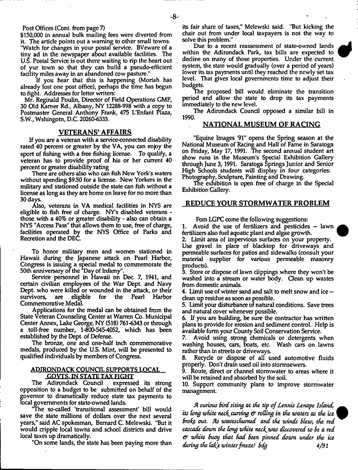Post Offices (Cont. from page 7)

\$150,000 in annual bulk mailing fees were diverted from it. The article points out a warning to other small towns. "Watch for changes in your postal service. BVeware of a tiny ad in the newspaper about available facilities. The U.S. Postal Service is out there waiting to rip the heart out of yur town so that they can build a pseudo-efficient facility miles away in an abandoned cow pasture."

If you hear that this is happening (Moriah has already lost one post office), perhaps the time has begun to fight. Addresses for letter writers:

Mr. Reginald Poulin, Director of Field Operations GMF, 30 Old Kamer Rd., Albany, NY 12288-998 with a copy to Postmaster General Anthony Frank, 475 L'Enfant Plaza, S.W., Wshingotn, D.C. 20260-6333.

## **VETERANS' AFFAIRS**

If you are a veteran with a service-connected disability rated 40 percent or greater by the VA, you can enjoy the sport of fishing with a free fishing license. To qualify, a veteran has to provide proof of his or her current 40 percent or greater disability rating

There are others also who can fish New York's waters without spending \$9.50 for a license. New Yorkers in the military and stationed outside the state can fish without a license as long as they are home on leave for no more than 30 days.

Also, veterans in VA medical facilities in NYS are eligible to fish free of charge. NY's disabled veterans those with a 40% or greater disability - also can obtain a NYS "Access Pass" that allows them to use, free of charge, facilities operated by the NYS Office of Parks and Recretion and the DEC.

To honor military men and women stationed in Hawaii during the Japanese attack on Pearl Harbor, Congress is issuing a special medal to commemorate the 50th anniversary or the "Day of Infamy".

Service personnel in Hawaii on Dec. 7, 1941, and certain civilian employees of the War Dept, and Navy Dept, who were killed or wounded in the attack, or their survivors, are eligible for the Pearl Harbor Commemorative Medal.

Applications for the medal can be obtained from the State Veteran Counseling Center at Warren Co. Municipal Center Annex, Lake George, NY (518) 761-6343 or through a toll-free number, 1-800-545-4052, which has been established by the Dept, of Defense.

The bronze, one and one-half inch commemorative medals, produced by the U.S. Mint, will be presented to qualified individuals by members of Congress.

## ADIRONDACK COUNCIL SUPPORTS LOCAL GOVTS. IN STATE TAX FIGHT

The Adirondack Council expressed its strong opposition to a budget to be submitted on behalf of the governor to dramatically reduce state tax payments to local governments for state-owned lands.

'The so-called 'transitional assessment' bill would save the state millions of dollars over the next several years," said AC spokesman, Bernard C. Melewski. "But it would cripple local towns and school districts and drive local taxes up dramatically.

"On some lands, the state has been paying more than

its fair share of taxes," Melewski said. "But kicking the chair out from under local taxpayers is not the way to solve this problem."

Due to a recent reassessment of state-owned lands within the Adirondack Park, tax bills are expected to decline on many of those properties. Under the current system, the state would gradually (over a period of years) lower its tax payments until they reached the newly set tax level. That gives local governments time to adjust their budgets.

The proposed bill would eliminate the transition period and allow the state to drop its tax payments immediately to the new level.

The Adirondack Council opposed a similar bill in 1990.

# NATIONAL MUSEUM OF RACING

"Equine Images '91" opens the Spring season at the National Museum of Racing and Hall of Fame in Saratoga on Friday, May 17,1991. The second annual student art show runs in the Museum's Special Exhibition Gallery through June 3,1991. Saratoga Springs Junior and Senior High Schools students will display in four categories: Photography, Sculpture, Painting and Drawing.

The exhibition is open free of charge in the Special Exhibition Gallery.

## REDUCE YOUR STORMWATER PROBLEM

Fom LGPC come the following suggestions:

1. Avoid the use of fertilizers and pesticides - lawn fertilizers also fuel aquatic plant and algae growth.

2. Limit area of impervious surfaces on your property. Use gravel in place of blacktop for driveways and permeable surfaces for patios and sidewalks (consult your material supplier for various permeable masonry products).

3. Store or dispose of lawn clippings where they won't be washed into a stream or water body. Clean up wastes from domestic animals.

4. Limit use of winter sand and salt to melt snow and ice dean up residue as soon as possible.

5. Limit your disturbance of natural conditions. Save trees and natural cover whenever possible.

6. If you are building, be sure the contractor has written plans to provide for erosion and sediment control. Help is available form your County Soil Conservation Service.

7. Avoid using strong chemicals or detergents when washing houses, cars, boats, etc. Wash cars on lawns rather than in streets or driveways.

8. Recyde or dispose of all used automotive fluids properly. Don't drain used oil into stormsewers.

9. Route, direct or channel stormwater to areas where it will be retained and absorbed by the soil.

10. Support community plans to improve stormwater management.

A curious bird siting at the tip of Lennis Lenape Island, *its long white necf^curving & raffing in the waters as the ice Brofe out As waveschumed and the winds Bfew, the red cascade down the Cong white necf^was discovered to Be a red & white Buoy that had Been pinned down under the ice during the tahe winter freeze! Bdg 4/91*

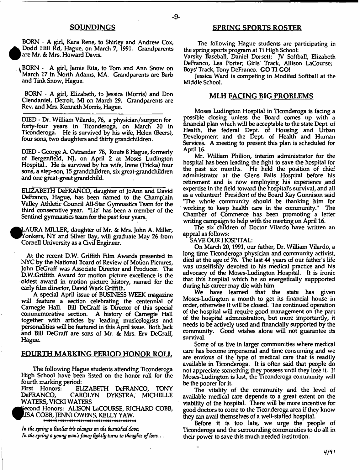# **SOUNDINGS**

BORN - A girl, Kara Rene, to Shirley and Andrew Cox, Dodd Hill Rd, Hague, on March 7, 1991. Grandparents are Mr. & Mrs. Howard Davis.

 $\bullet$  $\frac{1}{2}$  Boxner - A girl, Jamie Rita, to Tom and Ann Snow on March 17 in North Adams, MA. Grandparents are Barb and Tink Snow, Hague.

BORN - A girl, Elizabeth, to Jessica (Morris) and Don Clendaniel, Detroit, MI on March 29. Grandparents are Rev. and Mrs. Kenneth Morris, Hague.

DIED - Dr. William Vilardo, 76, a physician/surgeon for forty-four years in Tieonderoga, on March 20 in Tieonderoga. He is survived by his wife, Helen (Beers), four sons, two daughters and thirty grand children.

DIED - George A. Ostrander 78, Route 8 Hague, formerly of Bergenfield, NJ, on April 2 at Moses Ludington Hospital.. He is survived by his wife, Irene (Tricka) four sons, a step-son, 15 grandchildren, six great-grandchildren and one great-great grandchild.

ELIZABETH DeFRANCO, daughter of JoAnn and David DeFranco, Hague, has been named to the Champlain Valley Athletic Council All-Star Gymnastics Team for the third consecutive year. "Liz" has been a member of the Sentinel gymnastics team for the past four years.

^KLAURA MILLER, daughter of Mr. & Mrs. John A. Miller, Yonkers, NY and Silver Bay, will graduate May 26 from Cornell University as a Gvil Engineer.

At the recent D.W. Griffith Film Awards presented in NYC by the National Board of Review of Motion Pictures, John DeGraff was Associate Director and Producer. The D.W.Griffith Award for motion picture excellence is the oldest award in motion picture history, named for the early film director, David Wark Griffith.

A special April issue of BUSINESS WEEK magazine will feature a section celebrating the centennial of Carnegie Hall. Bill DeGraff is Director of this special commemorative section. A history of Carnegie Hall together with articles by leading musicologists and personalities will be featured in this April issue. Both Jack and Bill DeGraff are sons of Mr. & Mrs. Erv DeGraff, Hague.

## FOURTH MARKING PERIOD HONOR ROLL

The following Hague students attending Tieonderoga High School have been listed on the honor roll for the fourth marking period:

First Honors: ELIZABETH DeFRANCO, TONY DeFRANCO, CAROLYN DYKSTRA, MICHELLE WATERS, VICKI WATERS

 $\bullet$ econd Honors: ALISON LaCOURSE, RICHARD COBB, ISA COBB, JENNI OWENS, KELLY YAW.

In the spring a Goelier iris changes on the burnished dooe; In the spring a young man's fancy lightly turns to thoughts of love. . .

## SPRING SPORTS ROSTER

The following Hague students are participating in the spring sports program at Ti High School:

Varsity Baseball, Daniel Dorsett; JV Softball, Elizabeth DeFranco, Lea Porter; Girls' Track, Allison LaCourse; Boys' Track, Tony DeFranco. GO TI GO!

Jessica Ward is competing in Modifed Softball at the Middle School.

### MLH FACING BIG PROBLEMS

Moses Ludington Hospital in Tieonderoga is facing a possible closing unless the Board comes up with a financial plan which will be acceptable to the state Dept, of Health, the federal Dept, of Housing and Urban Development and the Dept, of Health and Human Services. A meeting to present this plan is scheduled for April 16.

Mr. William Philion, interim administrator for the hospital has been leading the fight to save the hospital for the past six months. He held the position of chief administrator at the Glens Falls Hospital before his retirement and is now employing his experience and expertise in the field toward die hospital's survival, and all as a volunteer! President of the Board Kay Gunnison said "The whole community should be thanking him for working to keep health care in the community." The Chamber of Commerce has been promoting a letter writing campaign to help with the meeting on April 16.

The six children of Doctor Vilardo have written an appeal as follows:

SAVE OUR HOSPITAL:

On March 20,1991, our father, Dr. William Vilardo, a long time Tieonderoga physician and community activist, died at the age of 76. *The* last 44 years of our father's life was unselfishly devoted to his medical practice and his advocacy of the Moses-Ludington Hospital. It is ironic that this hospital which he so energetically suppported during his career may die with him.

We have learned that the state has given Moses-Ludington a month to get its financial house in order, otherwise it will be dosed. The continued operation of the hospital will require good management on the part of the hospital administration, but more importantly, it needs to be actively used and financially supported by the community. Good wishes alone will not guarantee its survival.

Some of us live in larger communities where medical care has become impersonal and time consuming and we are envious of the type of medical care that is readily available in Tieonderoga. It is often said that people do not appreciate something they possess until they lose it. If Moses-Ludington is lost, the Tieonderoga community will be the poorer for it.

The vitality of the community and the level of available medical care depends to a great extent on the viability of the hospital. There will be more incentive for good doctors to come to the Tieonderoga area if they know they can avail themselves of a well-staffed hospital.

Before it is too late, we urge the people of Tieonderoga and the surrounding communities to do all in their power to save this much needed institution.